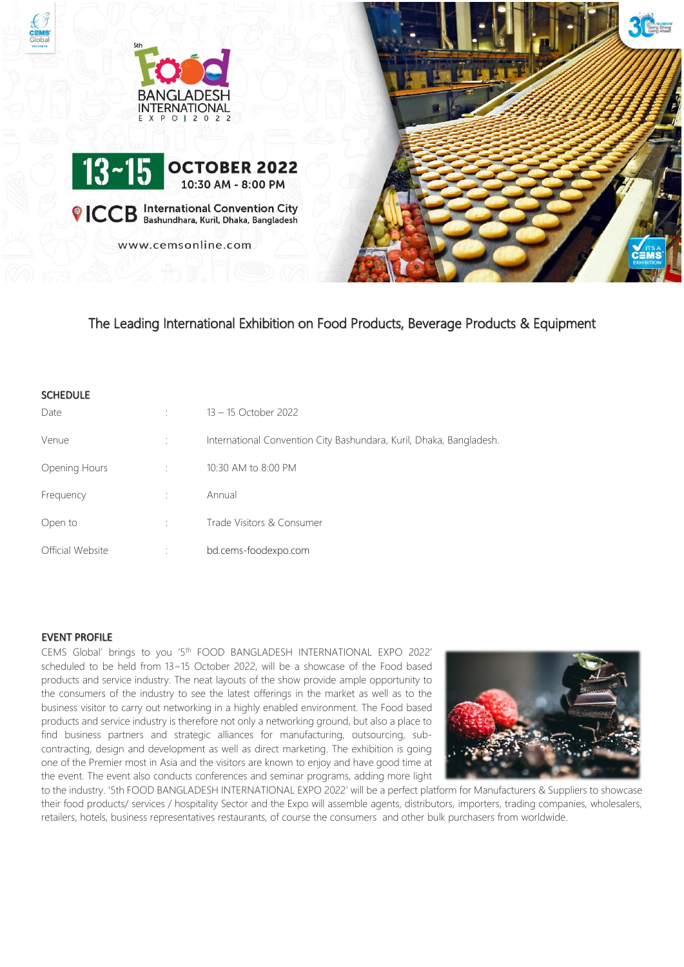





<sup>©</sup> ICCB International Convention City

www.cemsonline.com



The Leading International Exhibition on Food Products, Beverage Products & Equipment

## **SCHEDULE**

| Date             | 13 – 15 October 2022                                                |
|------------------|---------------------------------------------------------------------|
| Venue            | International Convention City Bashundara, Kuril, Dhaka, Bangladesh. |
| Opening Hours    | 10:30 AM to 8:00 PM                                                 |
| Frequency        | Annual                                                              |
| Open to          | Trade Visitors & Consumer                                           |
| Official Website | bd.cems-foodexpo.com                                                |

## EVENT PROFILE

CEMS Global' brings to you '5 th FOOD BANGLADESH INTERNATIONAL EXPO 2022' scheduled to be held from 13~15 October 2022, will be a showcase of the Food based products and service industry. The neat layouts of the show provide ample opportunity to the consumers of the industry to see the latest offerings in the market as well as to the business visitor to carry out networking in a highly enabled environment. The Food based products and service industry is therefore not only a networking ground, but also a place to find business partners and strategic alliances for manufacturing, outsourcing, subcontracting, design and development as well as direct marketing. The exhibition is going one of the Premier most in Asia and the visitors are known to enjoy and have good time at the event. The event also conducts conferences and seminar programs, adding more light



to the industry. '5th FOOD BANGLADESH INTERNATIONAL EXPO 2022' will be a perfect platform for Manufacturers & Suppliers to showcase their food products/ services / hospitality Sector and the Expo will assemble agents, distributors, importers, trading companies, wholesalers, retailers, hotels, business representatives restaurants, of course the consumers and other bulk purchasers from worldwide.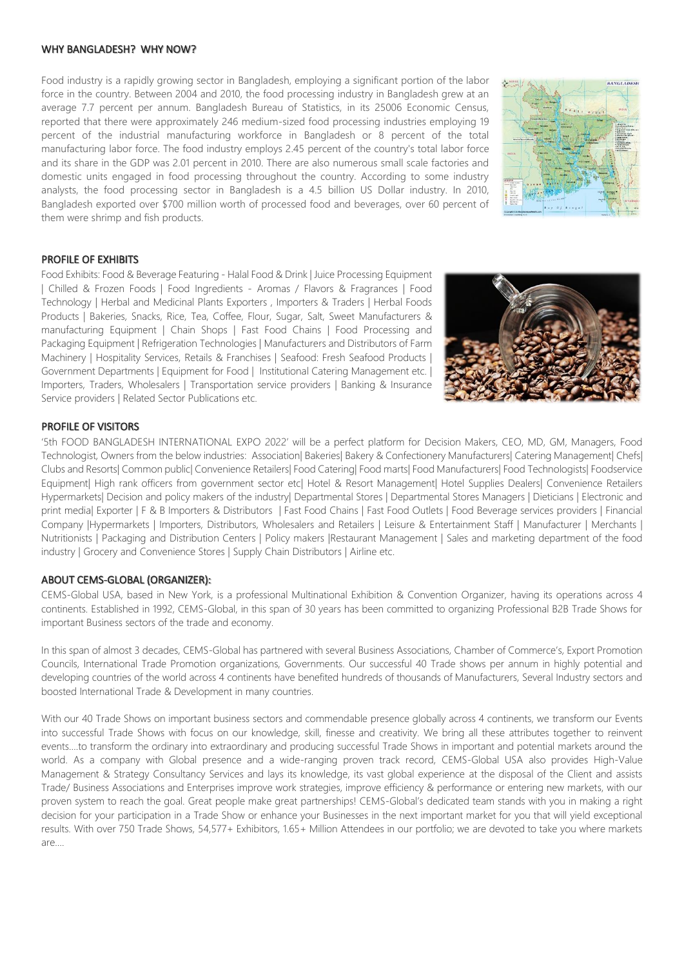#### WHY BANGLADESH? WHY NOW?

Food industry is a rapidly growing sector in Bangladesh, employing a significant portion of the labor force in the country. Between 2004 and 2010, the food processing industry in Bangladesh grew at an average 7.7 percent per annum. Bangladesh Bureau of Statistics, in its 25006 Economic Census, reported that there were approximately 246 medium-sized food processing industries employing 19 percent of the industrial manufacturing workforce in Bangladesh or 8 percent of the total manufacturing labor force. The food industry employs 2.45 percent of the country's total labor force and its share in the GDP was 2.01 percent in 2010. There are also numerous small scale factories and domestic units engaged in food processing throughout the country. According to some industry analysts, the food processing sector in Bangladesh is a 4.5 billion US Dollar industry. In 2010, Bangladesh exported over \$700 million worth of processed food and beverages, over 60 percent of them were shrimp and fish products.



### PROFILE OF EXHIBITS

Food Exhibits: Food & Beverage Featuring - Halal Food & Drink | Juice Processing Equipment | Chilled & Frozen Foods | Food Ingredients - Aromas / Flavors & Fragrances | Food Technology | Herbal and Medicinal Plants Exporters , Importers & Traders | Herbal Foods Products | Bakeries, Snacks, Rice, Tea, Coffee, Flour, Sugar, Salt, Sweet Manufacturers & manufacturing Equipment | Chain Shops | Fast Food Chains | Food Processing and Packaging Equipment | Refrigeration Technologies | Manufacturers and Distributors of Farm Machinery | Hospitality Services, Retails & Franchises | Seafood: Fresh Seafood Products | Government Departments | Equipment for Food | Institutional Catering Management etc. | Importers, Traders, Wholesalers | Transportation service providers | Banking & Insurance Service providers | Related Sector Publications etc.



## PROFILE OF VISITORS

'5th FOOD BANGLADESH INTERNATIONAL EXPO 2022' will be a perfect platform for Decision Makers, CEO, MD, GM, Managers, Food Technologist, Owners from the below industries: Association| Bakeries| Bakery & Confectionery Manufacturers| Catering Management| Chefs| Clubs and Resorts| Common public| Convenience Retailers| Food Catering| Food marts| Food Manufacturers| Food Technologists| Foodservice Equipment| High rank officers from government sector etc| Hotel & Resort Management| Hotel Supplies Dealers| Convenience Retailers Hypermarkets| Decision and policy makers of the industry| Departmental Stores | Departmental Stores Managers | Dieticians | Electronic and print media| Exporter | F & B Importers & Distributors | Fast Food Chains | Fast Food Outlets | Food Beverage services providers | Financial Company |Hypermarkets | Importers, Distributors, Wholesalers and Retailers | Leisure & Entertainment Staff | Manufacturer | Merchants | Nutritionists | Packaging and Distribution Centers | Policy makers |Restaurant Management | Sales and marketing department of the food industry | Grocery and Convenience Stores | Supply Chain Distributors | Airline etc.

#### ABOUT CEMS-GLOBAL (ORGANIZER):

CEMS-Global USA, based in New York, is a professional Multinational Exhibition & Convention Organizer, having its operations across 4 continents. Established in 1992, CEMS-Global, in this span of 30 years has been committed to organizing Professional B2B Trade Shows for important Business sectors of the trade and economy.

In this span of almost 3 decades, CEMS-Global has partnered with several Business Associations, Chamber of Commerce's, Export Promotion Councils, International Trade Promotion organizations, Governments. Our successful 40 Trade shows per annum in highly potential and developing countries of the world across 4 continents have benefited hundreds of thousands of Manufacturers, Several Industry sectors and boosted International Trade & Development in many countries.

With our 40 Trade Shows on important business sectors and commendable presence globally across 4 continents, we transform our Events into successful Trade Shows with focus on our knowledge, skill, finesse and creativity. We bring all these attributes together to reinvent events….to transform the ordinary into extraordinary and producing successful Trade Shows in important and potential markets around the world. As a company with Global presence and a wide-ranging proven track record, CEMS-Global USA also provides High-Value Management & Strategy Consultancy Services and lays its knowledge, its vast global experience at the disposal of the Client and assists Trade/ Business Associations and Enterprises improve work strategies, improve efficiency & performance or entering new markets, with our proven system to reach the goal. Great people make great partnerships! CEMS-Global's dedicated team stands with you in making a right decision for your participation in a Trade Show or enhance your Businesses in the next important market for you that will yield exceptional results. With over 750 Trade Shows, 54,577+ Exhibitors, 1.65+ Million Attendees in our portfolio; we are devoted to take you where markets are….